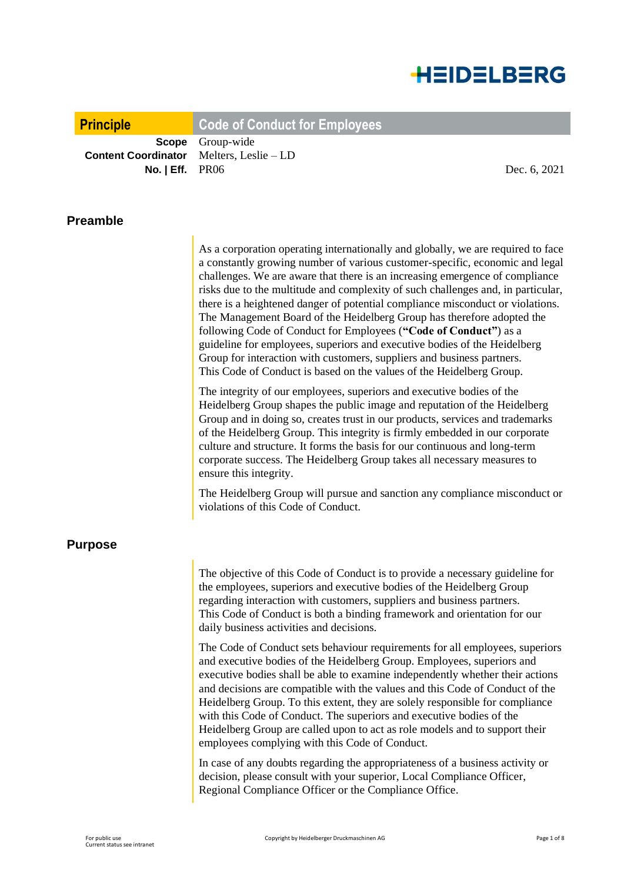

**Principle Code of Conduct for Employees**

**Scope** Group-wide **Content Coordinator** Melters, Leslie – LD **No. | Eff.** PR06 Dec. 6, 2021

#### **Preamble**

As a corporation operating internationally and globally, we are required to face a constantly growing number of various customer-specific, economic and legal challenges. We are aware that there is an increasing emergence of compliance risks due to the multitude and complexity of such challenges and, in particular, there is a heightened danger of potential compliance misconduct or violations. The Management Board of the Heidelberg Group has therefore adopted the following Code of Conduct for Employees (**"Code of Conduct"**) as a guideline for employees, superiors and executive bodies of the Heidelberg Group for interaction with customers, suppliers and business partners. This Code of Conduct is based on the values of the Heidelberg Group.

The integrity of our employees, superiors and executive bodies of the Heidelberg Group shapes the public image and reputation of the Heidelberg Group and in doing so, creates trust in our products, services and trademarks of the Heidelberg Group. This integrity is firmly embedded in our corporate culture and structure. It forms the basis for our continuous and long-term corporate success. The Heidelberg Group takes all necessary measures to ensure this integrity.

The Heidelberg Group will pursue and sanction any compliance misconduct or violations of this Code of Conduct.

#### **Purpose**

The objective of this Code of Conduct is to provide a necessary guideline for the employees, superiors and executive bodies of the Heidelberg Group regarding interaction with customers, suppliers and business partners. This Code of Conduct is both a binding framework and orientation for our daily business activities and decisions.

The Code of Conduct sets behaviour requirements for all employees, superiors and executive bodies of the Heidelberg Group. Employees, superiors and executive bodies shall be able to examine independently whether their actions and decisions are compatible with the values and this Code of Conduct of the Heidelberg Group. To this extent, they are solely responsible for compliance with this Code of Conduct. The superiors and executive bodies of the Heidelberg Group are called upon to act as role models and to support their employees complying with this Code of Conduct.

In case of any doubts regarding the appropriateness of a business activity or decision, please consult with your superior, Local Compliance Officer, Regional Compliance Officer or the Compliance Office.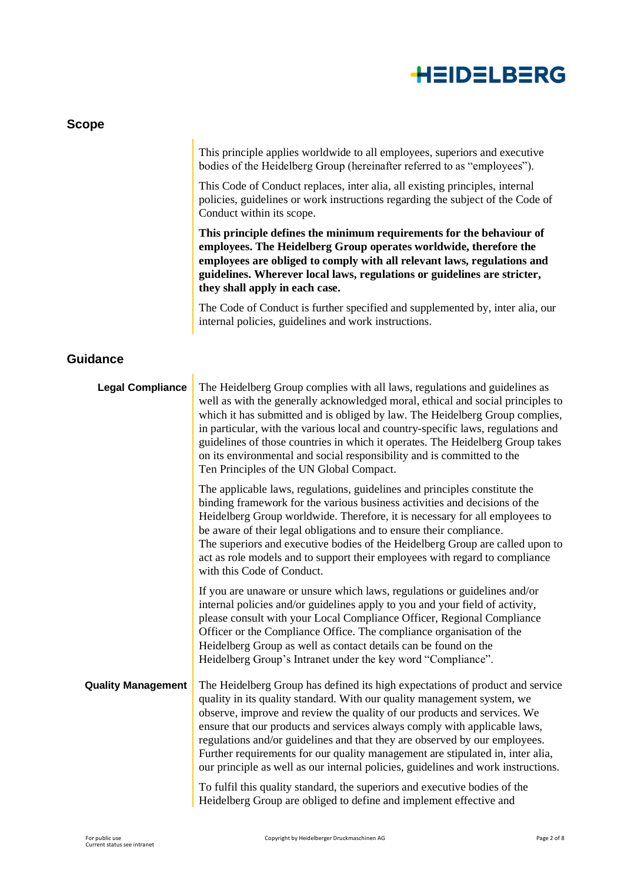

| <b>Scope</b>              |                                                                                                                                                                                                                                                                                                                                                                                                                                                                                                                                                                        |
|---------------------------|------------------------------------------------------------------------------------------------------------------------------------------------------------------------------------------------------------------------------------------------------------------------------------------------------------------------------------------------------------------------------------------------------------------------------------------------------------------------------------------------------------------------------------------------------------------------|
|                           | This principle applies worldwide to all employees, superiors and executive<br>bodies of the Heidelberg Group (hereinafter referred to as "employees").                                                                                                                                                                                                                                                                                                                                                                                                                 |
|                           | This Code of Conduct replaces, inter alia, all existing principles, internal<br>policies, guidelines or work instructions regarding the subject of the Code of<br>Conduct within its scope.                                                                                                                                                                                                                                                                                                                                                                            |
|                           | This principle defines the minimum requirements for the behaviour of<br>employees. The Heidelberg Group operates worldwide, therefore the<br>employees are obliged to comply with all relevant laws, regulations and<br>guidelines. Wherever local laws, regulations or guidelines are stricter,<br>they shall apply in each case.                                                                                                                                                                                                                                     |
|                           | The Code of Conduct is further specified and supplemented by, inter alia, our<br>internal policies, guidelines and work instructions.                                                                                                                                                                                                                                                                                                                                                                                                                                  |
| <b>Guidance</b>           |                                                                                                                                                                                                                                                                                                                                                                                                                                                                                                                                                                        |
| <b>Legal Compliance</b>   | The Heidelberg Group complies with all laws, regulations and guidelines as<br>well as with the generally acknowledged moral, ethical and social principles to<br>which it has submitted and is obliged by law. The Heidelberg Group complies,<br>in particular, with the various local and country-specific laws, regulations and<br>guidelines of those countries in which it operates. The Heidelberg Group takes<br>on its environmental and social responsibility and is committed to the<br>Ten Principles of the UN Global Compact.                              |
|                           | The applicable laws, regulations, guidelines and principles constitute the<br>binding framework for the various business activities and decisions of the<br>Heidelberg Group worldwide. Therefore, it is necessary for all employees to<br>be aware of their legal obligations and to ensure their compliance.<br>The superiors and executive bodies of the Heidelberg Group are called upon to<br>act as role models and to support their employees with regard to compliance<br>with this Code of Conduct.                                                           |
|                           | If you are unaware or unsure which laws, regulations or guidelines and/or<br>internal policies and/or guidelines apply to you and your field of activity,<br>please consult with your Local Compliance Officer, Regional Compliance<br>Officer or the Compliance Office. The compliance organisation of the<br>Heidelberg Group as well as contact details can be found on the<br>Heidelberg Group's Intranet under the key word "Compliance".                                                                                                                         |
| <b>Quality Management</b> | The Heidelberg Group has defined its high expectations of product and service<br>quality in its quality standard. With our quality management system, we<br>observe, improve and review the quality of our products and services. We<br>ensure that our products and services always comply with applicable laws,<br>regulations and/or guidelines and that they are observed by our employees.<br>Further requirements for our quality management are stipulated in, inter alia,<br>our principle as well as our internal policies, guidelines and work instructions. |
|                           | To fulfil this quality standard, the superiors and executive bodies of the<br>Heidelberg Group are obliged to define and implement effective and                                                                                                                                                                                                                                                                                                                                                                                                                       |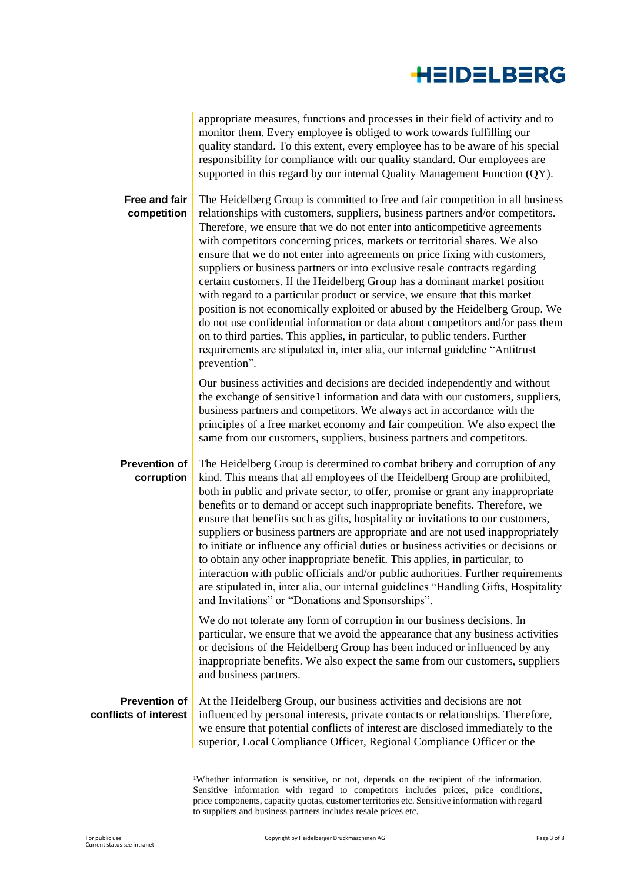appropriate measures, functions and processes in their field of activity and to monitor them. Every employee is obliged to work towards fulfilling our quality standard. To this extent, every employee has to be aware of his special responsibility for compliance with our quality standard. Our employees are supported in this regard by our internal Quality Management Function (QY).

**Free and fair competition** The Heidelberg Group is committed to free and fair competition in all business relationships with customers, suppliers, business partners and/or competitors. Therefore, we ensure that we do not enter into anticompetitive agreements with competitors concerning prices, markets or territorial shares. We also ensure that we do not enter into agreements on price fixing with customers, suppliers or business partners or into exclusive resale contracts regarding certain customers. If the Heidelberg Group has a dominant market position with regard to a particular product or service, we ensure that this market position is not economically exploited or abused by the Heidelberg Group. We do not use confidential information or data about competitors and/or pass them on to third parties. This applies, in particular, to public tenders. Further requirements are stipulated in, inter alia, our internal guideline "Antitrust prevention". Our business activities and decisions are decided independently and without the exchange of sensitive1 information and data with our customers, suppliers, business partners and competitors. We always act in accordance with the principles of a free market economy and fair competition. We also expect the same from our customers, suppliers, business partners and competitors. **Prevention of corruption** The Heidelberg Group is determined to combat bribery and corruption of any kind. This means that all employees of the Heidelberg Group are prohibited, both in public and private sector, to offer, promise or grant any inappropriate benefits or to demand or accept such inappropriate benefits. Therefore, we ensure that benefits such as gifts, hospitality or invitations to our customers, suppliers or business partners are appropriate and are not used inappropriately to initiate or influence any official duties or business activities or decisions or to obtain any other inappropriate benefit. This applies, in particular, to interaction with public officials and/or public authorities. Further requirements are stipulated in, inter alia, our internal guidelines "Handling Gifts, Hospitality and Invitations" or "Donations and Sponsorships".

> We do not tolerate any form of corruption in our business decisions. In particular, we ensure that we avoid the appearance that any business activities or decisions of the Heidelberg Group has been induced or influenced by any inappropriate benefits. We also expect the same from our customers, suppliers and business partners.

#### **Prevention of conflicts of interest**

At the Heidelberg Group, our business activities and decisions are not influenced by personal interests, private contacts or relationships. Therefore, we ensure that potential conflicts of interest are disclosed immediately to the superior, Local Compliance Officer, Regional Compliance Officer or the

<sup>1</sup>Whether information is sensitive, or not, depends on the recipient of the information. Sensitive information with regard to competitors includes prices, price conditions, price components, capacity quotas, customer territories etc. Sensitive information with regard to suppliers and business partners includes resale prices etc.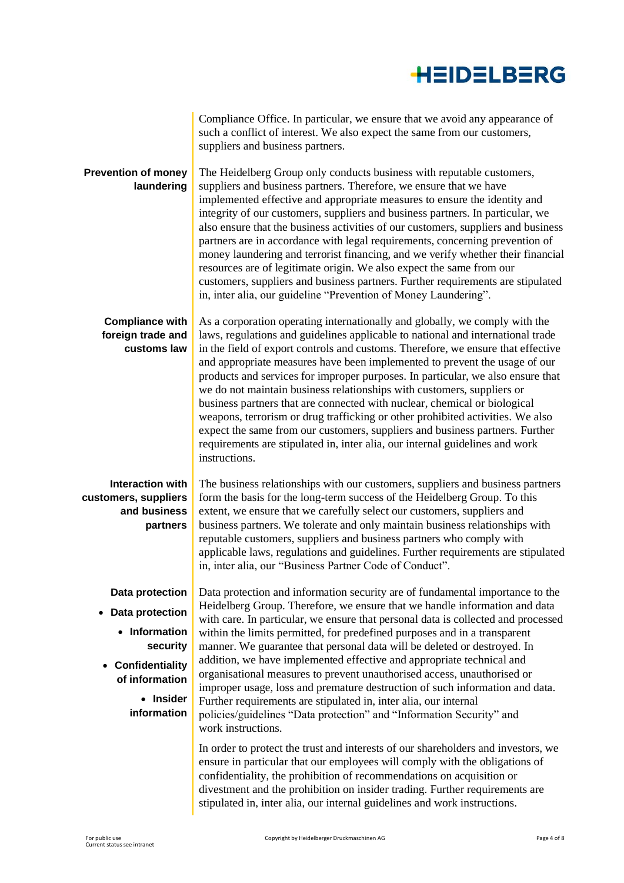|                                                                                                                                                            | Compliance Office. In particular, we ensure that we avoid any appearance of<br>such a conflict of interest. We also expect the same from our customers,<br>suppliers and business partners.                                                                                                                                                                                                                                                                                                                                                                                                                                                                                                                                                                                                                                                   |
|------------------------------------------------------------------------------------------------------------------------------------------------------------|-----------------------------------------------------------------------------------------------------------------------------------------------------------------------------------------------------------------------------------------------------------------------------------------------------------------------------------------------------------------------------------------------------------------------------------------------------------------------------------------------------------------------------------------------------------------------------------------------------------------------------------------------------------------------------------------------------------------------------------------------------------------------------------------------------------------------------------------------|
| <b>Prevention of money</b><br>laundering                                                                                                                   | The Heidelberg Group only conducts business with reputable customers,<br>suppliers and business partners. Therefore, we ensure that we have<br>implemented effective and appropriate measures to ensure the identity and<br>integrity of our customers, suppliers and business partners. In particular, we<br>also ensure that the business activities of our customers, suppliers and business<br>partners are in accordance with legal requirements, concerning prevention of<br>money laundering and terrorist financing, and we verify whether their financial<br>resources are of legitimate origin. We also expect the same from our<br>customers, suppliers and business partners. Further requirements are stipulated<br>in, inter alia, our guideline "Prevention of Money Laundering".                                              |
| <b>Compliance with</b><br>foreign trade and<br>customs law                                                                                                 | As a corporation operating internationally and globally, we comply with the<br>laws, regulations and guidelines applicable to national and international trade<br>in the field of export controls and customs. Therefore, we ensure that effective<br>and appropriate measures have been implemented to prevent the usage of our<br>products and services for improper purposes. In particular, we also ensure that<br>we do not maintain business relationships with customers, suppliers or<br>business partners that are connected with nuclear, chemical or biological<br>weapons, terrorism or drug trafficking or other prohibited activities. We also<br>expect the same from our customers, suppliers and business partners. Further<br>requirements are stipulated in, inter alia, our internal guidelines and work<br>instructions. |
| Interaction with<br>customers, suppliers<br>and business<br>partners                                                                                       | The business relationships with our customers, suppliers and business partners<br>form the basis for the long-term success of the Heidelberg Group. To this<br>extent, we ensure that we carefully select our customers, suppliers and<br>business partners. We tolerate and only maintain business relationships with<br>reputable customers, suppliers and business partners who comply with<br>applicable laws, regulations and guidelines. Further requirements are stipulated<br>in, inter alia, our "Business Partner Code of Conduct".                                                                                                                                                                                                                                                                                                 |
| Data protection<br>Data protection<br>$\bullet$<br>• Information<br>security<br>Confidentiality<br>$\bullet$<br>of information<br>• Insider<br>information | Data protection and information security are of fundamental importance to the<br>Heidelberg Group. Therefore, we ensure that we handle information and data<br>with care. In particular, we ensure that personal data is collected and processed<br>within the limits permitted, for predefined purposes and in a transparent<br>manner. We guarantee that personal data will be deleted or destroyed. In<br>addition, we have implemented effective and appropriate technical and<br>organisational measures to prevent unauthorised access, unauthorised or<br>improper usage, loss and premature destruction of such information and data.<br>Further requirements are stipulated in, inter alia, our internal<br>policies/guidelines "Data protection" and "Information Security" and<br>work instructions.                               |
|                                                                                                                                                            | In order to protect the trust and interests of our shareholders and investors, we<br>ensure in particular that our employees will comply with the obligations of<br>confidentiality, the prohibition of recommendations on acquisition or<br>divestment and the prohibition on insider trading. Further requirements are<br>stipulated in, inter alia, our internal guidelines and work instructions.                                                                                                                                                                                                                                                                                                                                                                                                                                         |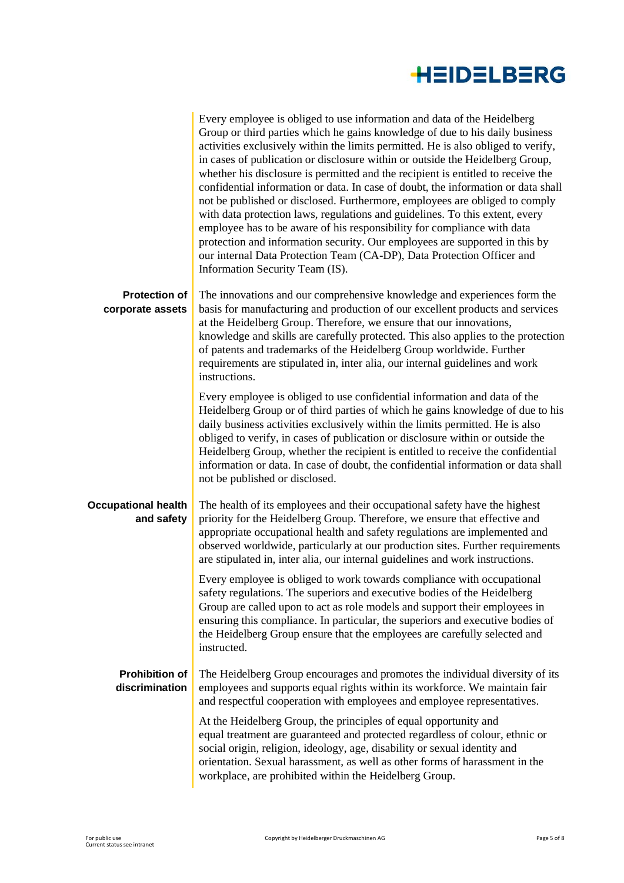

|                                          | Every employee is obliged to use information and data of the Heidelberg<br>Group or third parties which he gains knowledge of due to his daily business<br>activities exclusively within the limits permitted. He is also obliged to verify,<br>in cases of publication or disclosure within or outside the Heidelberg Group,<br>whether his disclosure is permitted and the recipient is entitled to receive the<br>confidential information or data. In case of doubt, the information or data shall<br>not be published or disclosed. Furthermore, employees are obliged to comply<br>with data protection laws, regulations and guidelines. To this extent, every<br>employee has to be aware of his responsibility for compliance with data<br>protection and information security. Our employees are supported in this by<br>our internal Data Protection Team (CA-DP), Data Protection Officer and<br>Information Security Team (IS). |
|------------------------------------------|----------------------------------------------------------------------------------------------------------------------------------------------------------------------------------------------------------------------------------------------------------------------------------------------------------------------------------------------------------------------------------------------------------------------------------------------------------------------------------------------------------------------------------------------------------------------------------------------------------------------------------------------------------------------------------------------------------------------------------------------------------------------------------------------------------------------------------------------------------------------------------------------------------------------------------------------|
| <b>Protection of</b><br>corporate assets | The innovations and our comprehensive knowledge and experiences form the<br>basis for manufacturing and production of our excellent products and services<br>at the Heidelberg Group. Therefore, we ensure that our innovations,<br>knowledge and skills are carefully protected. This also applies to the protection                                                                                                                                                                                                                                                                                                                                                                                                                                                                                                                                                                                                                        |
|                                          | of patents and trademarks of the Heidelberg Group worldwide. Further<br>requirements are stipulated in, inter alia, our internal guidelines and work<br>instructions.                                                                                                                                                                                                                                                                                                                                                                                                                                                                                                                                                                                                                                                                                                                                                                        |
|                                          | Every employee is obliged to use confidential information and data of the<br>Heidelberg Group or of third parties of which he gains knowledge of due to his<br>daily business activities exclusively within the limits permitted. He is also<br>obliged to verify, in cases of publication or disclosure within or outside the<br>Heidelberg Group, whether the recipient is entitled to receive the confidential<br>information or data. In case of doubt, the confidential information or data shall<br>not be published or disclosed.                                                                                                                                                                                                                                                                                                                                                                                                     |
| <b>Occupational health</b><br>and safety | The health of its employees and their occupational safety have the highest<br>priority for the Heidelberg Group. Therefore, we ensure that effective and<br>appropriate occupational health and safety regulations are implemented and<br>observed worldwide, particularly at our production sites. Further requirements<br>are stipulated in, inter alia, our internal guidelines and work instructions.                                                                                                                                                                                                                                                                                                                                                                                                                                                                                                                                    |
|                                          | Every employee is obliged to work towards compliance with occupational<br>safety regulations. The superiors and executive bodies of the Heidelberg<br>Group are called upon to act as role models and support their employees in<br>ensuring this compliance. In particular, the superiors and executive bodies of<br>the Heidelberg Group ensure that the employees are carefully selected and<br>instructed.                                                                                                                                                                                                                                                                                                                                                                                                                                                                                                                               |
| <b>Prohibition of</b><br>discrimination  | The Heidelberg Group encourages and promotes the individual diversity of its<br>employees and supports equal rights within its workforce. We maintain fair<br>and respectful cooperation with employees and employee representatives.                                                                                                                                                                                                                                                                                                                                                                                                                                                                                                                                                                                                                                                                                                        |
|                                          | At the Heidelberg Group, the principles of equal opportunity and<br>equal treatment are guaranteed and protected regardless of colour, ethnic or<br>social origin, religion, ideology, age, disability or sexual identity and<br>orientation. Sexual harassment, as well as other forms of harassment in the<br>workplace, are prohibited within the Heidelberg Group.                                                                                                                                                                                                                                                                                                                                                                                                                                                                                                                                                                       |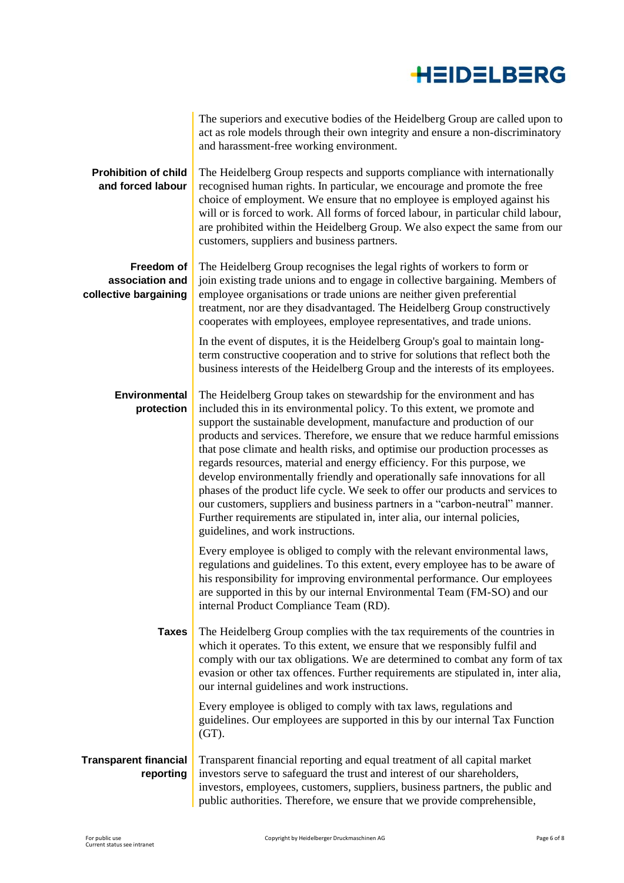|                                                        | The superiors and executive bodies of the Heidelberg Group are called upon to<br>act as role models through their own integrity and ensure a non-discriminatory<br>and harassment-free working environment.                                                                                                                                                                                                                                                                                                                                                                                                                                                                                                                                                                                                                                   |
|--------------------------------------------------------|-----------------------------------------------------------------------------------------------------------------------------------------------------------------------------------------------------------------------------------------------------------------------------------------------------------------------------------------------------------------------------------------------------------------------------------------------------------------------------------------------------------------------------------------------------------------------------------------------------------------------------------------------------------------------------------------------------------------------------------------------------------------------------------------------------------------------------------------------|
| <b>Prohibition of child</b><br>and forced labour       | The Heidelberg Group respects and supports compliance with internationally<br>recognised human rights. In particular, we encourage and promote the free<br>choice of employment. We ensure that no employee is employed against his<br>will or is forced to work. All forms of forced labour, in particular child labour,<br>are prohibited within the Heidelberg Group. We also expect the same from our<br>customers, suppliers and business partners.                                                                                                                                                                                                                                                                                                                                                                                      |
| Freedom of<br>association and<br>collective bargaining | The Heidelberg Group recognises the legal rights of workers to form or<br>join existing trade unions and to engage in collective bargaining. Members of<br>employee organisations or trade unions are neither given preferential<br>treatment, nor are they disadvantaged. The Heidelberg Group constructively<br>cooperates with employees, employee representatives, and trade unions.                                                                                                                                                                                                                                                                                                                                                                                                                                                      |
|                                                        | In the event of disputes, it is the Heidelberg Group's goal to maintain long-<br>term constructive cooperation and to strive for solutions that reflect both the<br>business interests of the Heidelberg Group and the interests of its employees.                                                                                                                                                                                                                                                                                                                                                                                                                                                                                                                                                                                            |
| <b>Environmental</b><br>protection                     | The Heidelberg Group takes on stewardship for the environment and has<br>included this in its environmental policy. To this extent, we promote and<br>support the sustainable development, manufacture and production of our<br>products and services. Therefore, we ensure that we reduce harmful emissions<br>that pose climate and health risks, and optimise our production processes as<br>regards resources, material and energy efficiency. For this purpose, we<br>develop environmentally friendly and operationally safe innovations for all<br>phases of the product life cycle. We seek to offer our products and services to<br>our customers, suppliers and business partners in a "carbon-neutral" manner.<br>Further requirements are stipulated in, inter alia, our internal policies,<br>guidelines, and work instructions. |
|                                                        | Every employee is obliged to comply with the relevant environmental laws,<br>regulations and guidelines. To this extent, every employee has to be aware of<br>his responsibility for improving environmental performance. Our employees<br>are supported in this by our internal Environmental Team (FM-SO) and our<br>internal Product Compliance Team (RD).                                                                                                                                                                                                                                                                                                                                                                                                                                                                                 |
| <b>Taxes</b>                                           | The Heidelberg Group complies with the tax requirements of the countries in<br>which it operates. To this extent, we ensure that we responsibly fulfil and<br>comply with our tax obligations. We are determined to combat any form of tax<br>evasion or other tax offences. Further requirements are stipulated in, inter alia,<br>our internal guidelines and work instructions.                                                                                                                                                                                                                                                                                                                                                                                                                                                            |
|                                                        | Every employee is obliged to comply with tax laws, regulations and<br>guidelines. Our employees are supported in this by our internal Tax Function<br>$(GT)$ .                                                                                                                                                                                                                                                                                                                                                                                                                                                                                                                                                                                                                                                                                |
| <b>Transparent financial</b><br>reporting              | Transparent financial reporting and equal treatment of all capital market<br>investors serve to safeguard the trust and interest of our shareholders,<br>investors, employees, customers, suppliers, business partners, the public and<br>public authorities. Therefore, we ensure that we provide comprehensible,                                                                                                                                                                                                                                                                                                                                                                                                                                                                                                                            |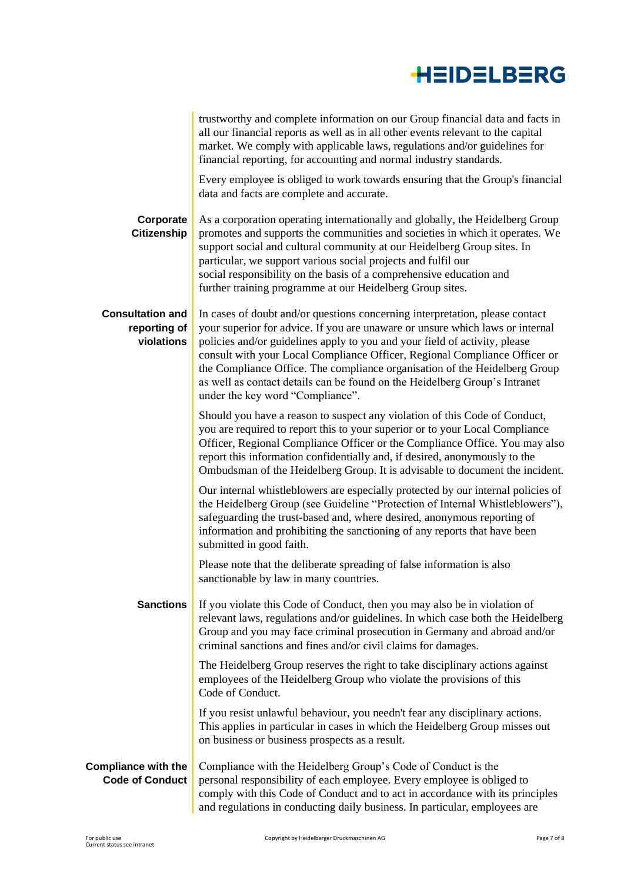|                                                       | trustworthy and complete information on our Group financial data and facts in<br>all our financial reports as well as in all other events relevant to the capital<br>market. We comply with applicable laws, regulations and/or guidelines for<br>financial reporting, for accounting and normal industry standards.                                                                                                                                                                                                      |
|-------------------------------------------------------|---------------------------------------------------------------------------------------------------------------------------------------------------------------------------------------------------------------------------------------------------------------------------------------------------------------------------------------------------------------------------------------------------------------------------------------------------------------------------------------------------------------------------|
|                                                       | Every employee is obliged to work towards ensuring that the Group's financial<br>data and facts are complete and accurate.                                                                                                                                                                                                                                                                                                                                                                                                |
| Corporate<br><b>Citizenship</b>                       | As a corporation operating internationally and globally, the Heidelberg Group<br>promotes and supports the communities and societies in which it operates. We<br>support social and cultural community at our Heidelberg Group sites. In<br>particular, we support various social projects and fulfil our<br>social responsibility on the basis of a comprehensive education and<br>further training programme at our Heidelberg Group sites.                                                                             |
| <b>Consultation and</b><br>reporting of<br>violations | In cases of doubt and/or questions concerning interpretation, please contact<br>your superior for advice. If you are unaware or unsure which laws or internal<br>policies and/or guidelines apply to you and your field of activity, please<br>consult with your Local Compliance Officer, Regional Compliance Officer or<br>the Compliance Office. The compliance organisation of the Heidelberg Group<br>as well as contact details can be found on the Heidelberg Group's Intranet<br>under the key word "Compliance". |
|                                                       | Should you have a reason to suspect any violation of this Code of Conduct,<br>you are required to report this to your superior or to your Local Compliance<br>Officer, Regional Compliance Officer or the Compliance Office. You may also<br>report this information confidentially and, if desired, anonymously to the<br>Ombudsman of the Heidelberg Group. It is advisable to document the incident.                                                                                                                   |
|                                                       | Our internal whistleblowers are especially protected by our internal policies of<br>the Heidelberg Group (see Guideline "Protection of Internal Whistleblowers"),<br>safeguarding the trust-based and, where desired, anonymous reporting of<br>information and prohibiting the sanctioning of any reports that have been<br>submitted in good faith.                                                                                                                                                                     |
|                                                       | Please note that the deliberate spreading of false information is also<br>sanctionable by law in many countries.                                                                                                                                                                                                                                                                                                                                                                                                          |
| <b>Sanctions</b>                                      | If you violate this Code of Conduct, then you may also be in violation of<br>relevant laws, regulations and/or guidelines. In which case both the Heidelberg<br>Group and you may face criminal prosecution in Germany and abroad and/or<br>criminal sanctions and fines and/or civil claims for damages.                                                                                                                                                                                                                 |
|                                                       | The Heidelberg Group reserves the right to take disciplinary actions against<br>employees of the Heidelberg Group who violate the provisions of this<br>Code of Conduct.                                                                                                                                                                                                                                                                                                                                                  |
|                                                       | If you resist unlawful behaviour, you needn't fear any disciplinary actions.<br>This applies in particular in cases in which the Heidelberg Group misses out<br>on business or business prospects as a result.                                                                                                                                                                                                                                                                                                            |
| <b>Compliance with the</b><br><b>Code of Conduct</b>  | Compliance with the Heidelberg Group's Code of Conduct is the<br>personal responsibility of each employee. Every employee is obliged to<br>comply with this Code of Conduct and to act in accordance with its principles<br>and regulations in conducting daily business. In particular, employees are                                                                                                                                                                                                                    |